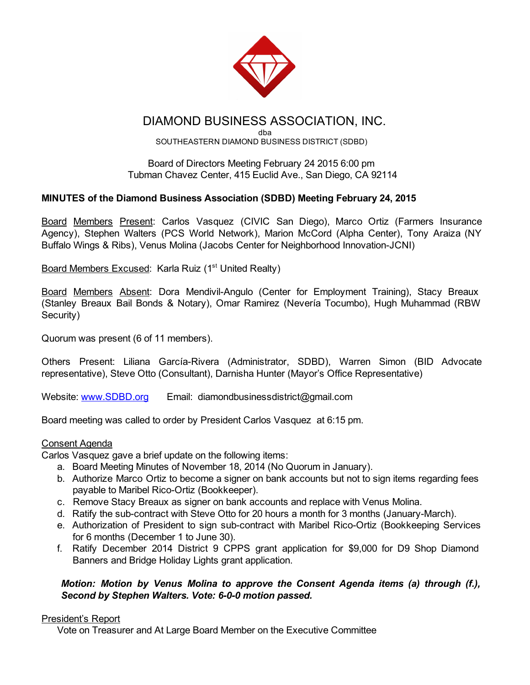

# DIAMOND BUSINESS ASSOCIATION, INC.

dba SOUTHEASTERN DIAMOND BUSINESS DISTRICT (SDBD)

Board of Directors Meeting February 24 2015 6:00 pm Tubman Chavez Center, 415 Euclid Ave., San Diego, CA 92114

# MINUTES of the Diamond Business Association (SDBD) Meeting February 24, 2015

Board Members Present: Carlos Vasquez (CIVIC San Diego), Marco Ortiz (Farmers Insurance Agency), Stephen Walters (PCS World Network), Marion McCord (Alpha Center), Tony Araiza (NY Buffalo Wings & Ribs), Venus Molina (Jacobs Center for Neighborhood Innovation-JCNI)

Board Members Excused: Karla Ruiz (1<sup>st</sup> United Realty)

Board Members Absent: Dora Mendivil-Angulo (Center for Employment Training), Stacy Breaux (Stanley Breaux Bail Bonds & Notary), Omar Ramirez (Nevería Tocumbo), Hugh Muhammad (RBW Security)

Quorum was present (6 of 11 members).

Others Present: Liliana García-Rivera (Administrator, SDBD), Warren Simon (BID Advocate representative), Steve Otto (Consultant), Darnisha Hunter (Mayor's Office Representative)

Website: [www.SDBD.org](http://www.sdbd.org/) Email: diamondbusinessdistrict@gmail.com

Board meeting was called to order by President Carlos Vasquez at 6:15 pm.

#### Consent Agenda

Carlos Vasquez gave a brief update on the following items:

- a. Board Meeting Minutes of November 18, 2014 (No Quorum in January).
- b. Authorize Marco Ortiz to become a signer on bank accounts but not to sign items regarding fees payable to Maribel Rico-Ortiz (Bookkeeper).
- c. Remove Stacy Breaux as signer on bank accounts and replace with Venus Molina.
- d. Ratify the sub-contract with Steve Otto for 20 hours a month for 3 months (January-March).
- e. Authorization of President to sign sub-contract with Maribel Rico-Ortiz (Bookkeeping Services for 6 months (December 1 to June 30).
- f. Ratify December 2014 District 9 CPPS grant application for \$9,000 for D9 Shop Diamond Banners and Bridge Holiday Lights grant application.

### *Motion: Motion by Venus Molina to approve the Consent Agenda items (a) through (f.), Second by Stephen Walters. Vote: 6-0-0 motion passed.*

#### President's Report

Vote on Treasurer and At Large Board Member on the Executive Committee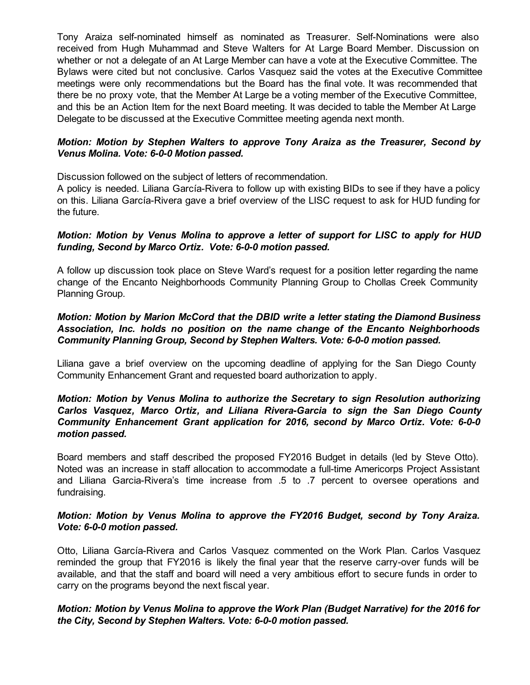Tony Araiza self-nominated himself as nominated as Treasurer. Self-Nominations were also received from Hugh Muhammad and Steve Walters for At Large Board Member. Discussion on whether or not a delegate of an At Large Member can have a vote at the Executive Committee. The Bylaws were cited but not conclusive. Carlos Vasquez said the votes at the Executive Committee meetings were only recommendations but the Board has the final vote. It was recommended that there be no proxy vote, that the Member At Large be a voting member of the Executive Committee, and this be an Action Item for the next Board meeting. It was decided to table the Member At Large Delegate to be discussed at the Executive Committee meeting agenda next month.

### *Motion: Motion by Stephen Walters to approve Tony Araiza as the Treasurer, Second by Venus Molina. Vote: 6-0-0 Motion passed.*

Discussion followed on the subject of letters of recommendation.

A policy is needed. Liliana García-Rivera to follow up with existing BIDs to see if they have a policy on this. Liliana García-Rivera gave a brief overview of the LISC request to ask for HUD funding for the future.

### *Motion: Motion by Venus Molina to approve a letter of support for LISC to apply for HUD funding, Second by Marco Ortiz. Vote: 600 motion passed.*

A follow up discussion took place on Steve Ward's request for a position letter regarding the name change of the Encanto Neighborhoods Community Planning Group to Chollas Creek Community Planning Group.

# *Motion: Motion by Marion McCord that the DBID write a letter stating the Diamond Business Association, Inc. holds no position on the name change of the Encanto Neighborhoods Community Planning Group, Second by Stephen Walters. Vote: 600 motion passed.*

Liliana gave a brief overview on the upcoming deadline of applying for the San Diego County Community Enhancement Grant and requested board authorization to apply.

#### *Motion: Motion by Venus Molina to authorize the Secretary to sign Resolution authorizing Carlos Vasquez, Marco Ortiz, and Liliana RiveraGarcia to sign the San Diego County Community Enhancement Grant application for 2016, second by Marco Ortiz. Vote: 600 motion passed.*

Board members and staff described the proposed FY2016 Budget in details (led by Steve Otto). Noted was an increase in staff allocation to accommodate a full-time Americorps Project Assistant and Liliana Garcia-Rivera's time increase from .5 to .7 percent to oversee operations and fundraising.

### *Motion: Motion by Venus Molina to approve the FY2016 Budget, second by Tony Araiza. Vote:* 6-0-0 motion passed.

Otto, Liliana García-Rivera and Carlos Vasquez commented on the Work Plan. Carlos Vasquez reminded the group that FY2016 is likely the final year that the reserve carry-over funds will be available, and that the staff and board will need a very ambitious effort to secure funds in order to carry on the programs beyond the next fiscal year.

### *Motion: Motion by Venus Molina to approve the Work Plan (Budget Narrative) for the 2016 for the City, Second by Stephen Walters. Vote: 6-0-0 motion passed.*